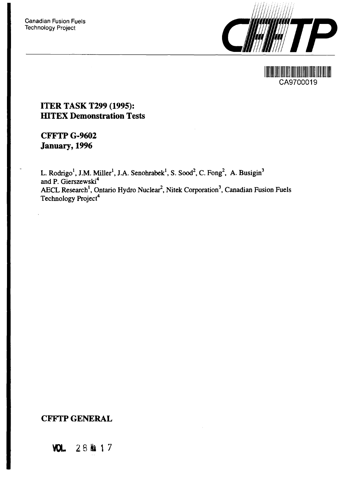

HER HAND AND THE THE REAL PROPERTY. CA9700019

## **ITER TASK T299 (1995): HITEX Demonstration Tests**

**CFFTP G-9602 January, 1996**

L. Rodrigo<sup>1</sup>, J.M. Miller<sup>1</sup>, J.A. Senohrabek<sup>1</sup>, S. Sood<sup>2</sup>, C. Fong<sup>2</sup>, A. Busigin<sup>3</sup> and P. Gierszewski<sup>4</sup> AECL Research<sup>1</sup>, Ontario Hydro Nuclear<sup>2</sup>, Nitek Corporation<sup>3</sup>, Canadian Fusion Fuels Technology Project<sup>4</sup>

# **CFFTP GENERAL**

**VOL 28H\* 17**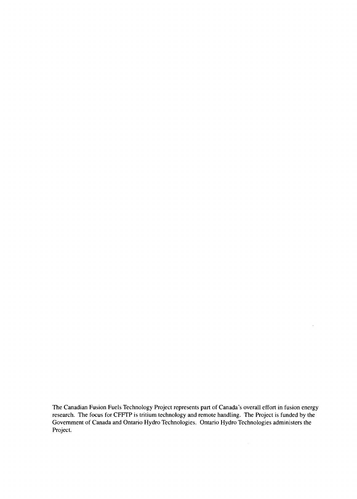The Canadian Fusion Fuels Technology Project represents part of Canada's overall effort in fusion energy research. The focus for CFFTP is tritium technology and remote handling. The Project is funded by the Government of Canada and Ontario Hydro Technologies. Ontario Hydro Technologies administers the Project.

 $\mathcal{L}^{\mathcal{A}}$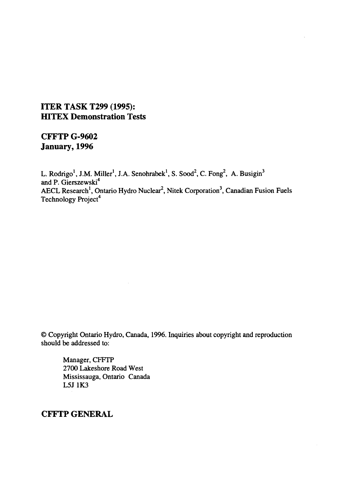## **ITER TASK T299 (1995): HITEX Demonstration Tests**

# **CFFTP G-9602 January, 1996**

L. Rodrigo<sup>1</sup>, J.M. Miller<sup>1</sup>, J.A. Senohrabek<sup>1</sup>, S. Sood<sup>2</sup>, C. Fong<sup>2</sup>, A. Busigin<sup>3</sup> and P. Gierszewski<sup>4</sup> AECL Research<sup>1</sup>, Ontario Hydro Nuclear<sup>2</sup>, Nitek Corporation<sup>3</sup>, Canadian Fusion Fuels Technology Project<sup>4</sup>

© Copyright Ontario Hydro, Canada, 1996. Inquiries about copyright and reproduction should be addressed to:

Manager, CFFTP 2700 Lakeshore Road West Mississauga, Ontario Canada L5J1K3

**CFFTP GENERAL**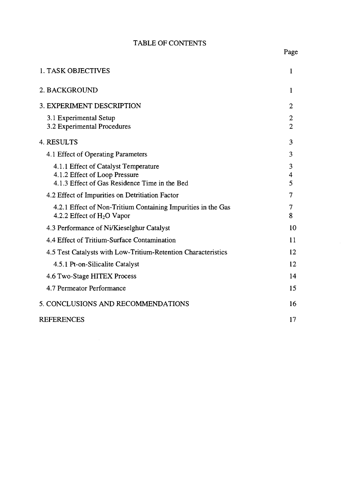## TABLE OF CONTENTS

| 1. TASK OBJECTIVES                                                                                                     | 1                                |
|------------------------------------------------------------------------------------------------------------------------|----------------------------------|
| 2. BACKGROUND                                                                                                          | 1                                |
| 3. EXPERIMENT DESCRIPTION                                                                                              | $\overline{2}$                   |
| 3.1 Experimental Setup<br>3.2 Experimental Procedures                                                                  | $\overline{2}$<br>$\overline{2}$ |
| 4. RESULTS                                                                                                             | 3                                |
| 4.1 Effect of Operating Parameters                                                                                     | 3                                |
| 4.1.1 Effect of Catalyst Temperature<br>4.1.2 Effect of Loop Pressure<br>4.1.3 Effect of Gas Residence Time in the Bed | 3<br>4<br>5                      |
| 4.2 Effect of Impurities on Detritiation Factor                                                                        | 7                                |
| 4.2.1 Effect of Non-Tritium Containing Impurities in the Gas<br>4.2.2 Effect of $H_2O$ Vapor                           | 7<br>8                           |
| 4.3 Performance of Ni/Kieselghur Catalyst                                                                              | 10                               |
| 4.4 Effect of Tritium-Surface Contamination                                                                            | 11                               |
| 4.5 Test Catalysts with Low-Tritium-Retention Characteristics                                                          | 12                               |
| 4.5.1 Pt-on-Silicalite Catalyst                                                                                        | 12                               |
| 4.6 Two-Stage HITEX Process                                                                                            | 14                               |
| 4.7 Permeator Performance                                                                                              | 15                               |
| 5. CONCLUSIONS AND RECOMMENDATIONS                                                                                     | 16                               |
| <b>REFERENCES</b>                                                                                                      | 17                               |

Page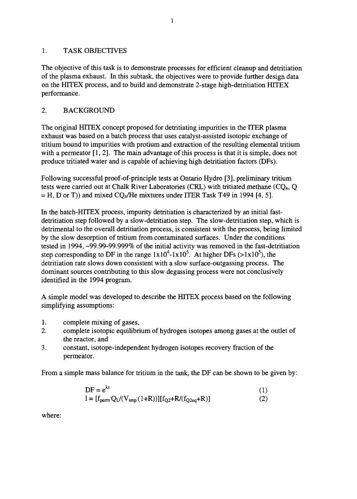### 1. TASK OBJECTIVES

The objective of this task is to demonstrate processes for efficient cleanup and detritiation of the plasma exhaust. In this subtask, the objectives were to provide further design data on the HITEX process, and to build and demonstrate 2-stage high-detritiation HITEX performance.

## 2. BACKGROUND

The original HITEX concept proposed for detritiating impurities in the ITER plasma exhaust was based on a batch process that uses catalyst-assisted isotopic exchange of tritium bound to impurities with protium and extraction of the resulting elemental tritium with a permeator [1, 2]. The main advantage of this process is that it is simple, does not produce tritiated water and is capable of achieving high detritiation factors (DFs).

Following successful proof-of-principle tests at Ontario Hydro [3], preliminary tritium tests were carried out at Chalk River Laboratories (CRL) with tritiated methane (CQ4, Q  $=$  H, D or T)) and mixed CQ<sub>4</sub>/He mixtures under ITER Task T49 in 1994 [4, 5].

In the batch-HITEX process, impurity detritiation is characterized by an initial fastdetritiation step followed by a slow-detritiation step. The slow-detritiation step, which is detrimental to the overall detritiation process, is consistent with the process, being limited by the slow desorption of tritium from contaminated surfaces. Under the conditions tested in 1994, -99.99-99.999% of the initial activity was removed in the fast-detritiation step corresponding to DF in the range  $1x10^4$ -1x10<sup>5</sup>. At higher DFs (>1x10<sup>5</sup>), the detritiation rate slows down consistent with a slow surface-outgassing process. The dominant sources contributing to this slow degassing process were not conclusively identified in the 1994 program.

A simple model was developed to describe the HITEX process based on the following simplifying assumptions:

- 1. complete mixing of gases,
- 2. complete isotopic equilibrium of hydrogen isotopes among gases at the outlet of the reactor, and
- 3. constant, isotope-independent hydrogen isotopes recovery fraction of the permeator.

From a simple mass balance for tritium in the tank, the DF can be shown to be given by:

DF = 
$$
e^{\lambda t}
$$
 (1)  
\nI =  $[f_{perm}Q_L/(V_{imp}(1+R))][f_{Q2}+R/(f_{Q2eq}+R)]$  (2)

where: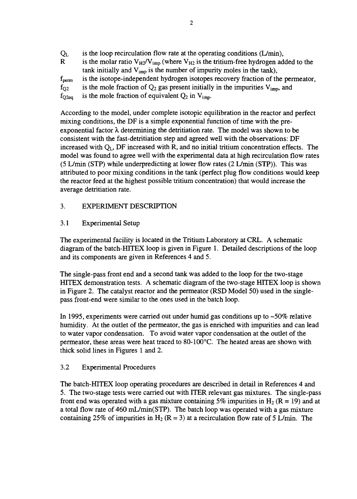$Q_L$  is the loop recirculation flow rate at the operating conditions (L/min), R is the molar ratio  $V_{H2}/V_{imp}$  (where  $V_{H2}$  is the tritium-free hydrogen added to the tank initially and  $V_{imp}$  is the number of impurity moles in the tank), fperm is the isotope-independent hydrogen isotopes recovery fraction of the permeator,  $f_{Q2}$  is the mole fraction of  $Q_2$  gas present initially in the impurities  $V_{\text{imp}}$ , and  $f_{O2eq}$  is the mole fraction of equivalent  $Q_2$  in  $V_{imp}$ .

According to the model, under complete isotopic equilibration in the reactor and perfect mixing conditions, the DF is a simple exponential function of time with the preexponential factor  $\lambda$  determining the detritiation rate. The model was shown to be consistent with the fast-detritiation step and agreed well with the observations: DF increased with  $Q_L$ , DF increased with R, and no initial tritium concentration effects. The model was found to agree well with the experimental data at high recirculation flow rates (5 L/min (STP) while underpredicting at lower flow rates (2 L/min (STP)). This was attributed to poor mixing conditions in the tank (perfect plug flow conditions would keep the reactor feed at the highest possible tritium concentration) that would increase the average detritiation rate.

## 3. EXPERIMENT DESCRIPTION

#### 3.1 Experimental Setup

The experimental facility is located in the Tritium Laboratory at CRL. A schematic diagram of the batch-HITEX loop is given in Figure 1. Detailed descriptions of the loop and its components are given in References 4 and 5.

The single-pass front end and a second tank was added to the loop for the two-stage HITEX demonstration tests. A schematic diagram of the two-stage HTTEX loop is shown in Figure 2. The catalyst reactor and the permeator (RSD Model 50) used in the singlepass front-end were similar to the ones used in the batch loop.

In 1995, experiments were carried out under humid gas conditions up to  $\sim 50\%$  relative humidity. At the outlet of the permeator, the gas is enriched with impurities and can lead to water vapor condensation. To avoid water vapor condensation at the outlet of the permeator, these areas were heat traced to 80-100°C. The heated areas are shown with thick solid lines in Figures 1 and 2.

#### 3.2 Experimental Procedures

The batch-HITEX loop operating procedures are described in detail in References 4 and 5. The two-stage tests were carried out with ITER relevant gas mixtures. The single-pass front end was operated with a gas mixture containing 5% impurities in H<sub>2</sub> (R = 19) and at a total flow rate of 460 mL/min(STP). The batch loop was operated with a gas mixture containing 25% of impurities in H<sub>2</sub> (R = 3) at a recirculation flow rate of 5 L/min. The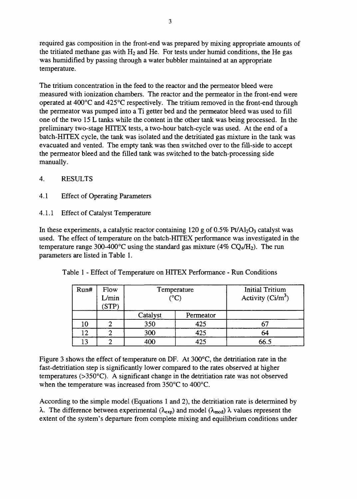required gas composition in the front-end was prepared by mixing appropriate amounts of the tritiated methane gas with  $H_2$  and He. For tests under humid conditions, the He gas was humidified by passing through a water bubbler maintained at an appropriate temperature.

The tritium concentration in the feed to the reactor and the permeator bleed were measured with ionization chambers. The reactor and the permeator in the front-end were operated at 400°C and 425°C respectively. The tritium removed in the front-end through the permeator was pumped into a Ti getter bed and the permeator bleed was used to fill one of the two 15 L tanks while the content in the other tank was being processed. In the preliminary two-stage HITEX tests, a two-hour batch-cycle was used. At the end of a batch-HITEX cycle, the tank was isolated and the detritiated gas mixture in the tank was evacuated and vented. The empty tank was then switched over to the fill-side to accept the permeator bleed and the filled tank was switched to the batch-processing side manually.

- **4.** RESULTS
- 4.1 Effect of Operating Parameters
- 4.1.1 Effect of Catalyst Temperature

In these experiments, a catalytic reactor containing 120 g of  $0.5\%$  Pt/Al<sub>2</sub>O<sub>3</sub> catalyst was used. The effect of temperature on the batch-HITEX performance was investigated in the temperature range 300-400°C using the standard gas mixture (4% CQ<sub>4</sub>/H<sub>2</sub>). The run parameters are listed in Table 1.

|  | Table 1 - Effect of Temperature on HITEX Performance - Run Conditions |  |  |  |  |  |
|--|-----------------------------------------------------------------------|--|--|--|--|--|
|  |                                                                       |  |  |  |  |  |

| Run# | Flow<br>$\mathcal{L}/\text{min}$<br><b>STP</b> |          | Temperature<br>$(^{\circ}C)$ | <b>Initial Tritium</b><br>Activity $(Ci/m^3)$ |
|------|------------------------------------------------|----------|------------------------------|-----------------------------------------------|
|      |                                                | Catalyst | Permeator                    |                                               |
| 10   |                                                | 350      | 425                          |                                               |
| ר ו  |                                                | 300      | 425                          | 64                                            |
|      |                                                | 400      | 425                          | 66.5                                          |

Figure 3 shows the effect of temperature on DF. At 300°C, the detritiation rate in the fast-detritiation step is significantly lower compared to the rates observed at higher temperatures (>350°C). A significant change in the detritiation rate was not observed when the temperature was increased from 350°C to 400°C.

According to the simple model (Equations 1 and 2), the detritiation rate is determined by  $\lambda$ . The difference between experimental ( $\lambda_{exp}$ ) and model ( $\lambda_{mod}$ )  $\lambda$  values represent the extent of the system's departure from complete mixing and equilibrium conditions under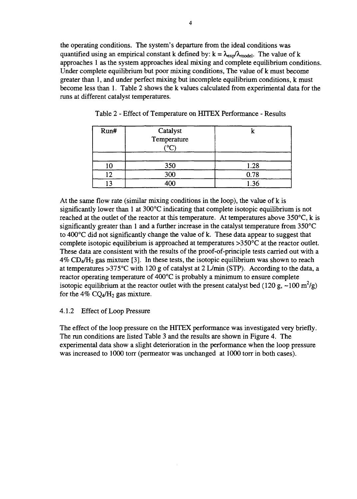the operating conditions. The system's departure from the ideal conditions was quantified using an empirical constant k defined by:  $k = \lambda_{\text{exo}}/\lambda_{\text{model}}$ . The value of k approaches 1 as the system approaches ideal mixing and complete equilibrium conditions. Under complete equilibrium but poor mixing conditions, The value of k must become greater than 1, and under perfect mixing but incomplete equilibrium conditions, k must become less than 1. Table 2 shows the k values calculated from experimental data for the runs at different catalyst temperatures.

| Run# | Catalyst<br>Temperature<br>$\sim$ |      |
|------|-----------------------------------|------|
| 10   | 350                               | 1.28 |
| רו   | 300                               | 0.78 |
| ີ    | $\infty$                          | .36  |

Table 2 - Effect of Temperature on HTTEX Performance - Results

At the same flow rate (similar mixing conditions in the loop), the value of k is significantly lower than 1 at 300°C indicating that complete isotopic equilibrium is not reached at the outlet of the reactor at this temperature. At temperatures above 350°C, k is significantly greater than 1 and a further increase in the catalyst temperature from 350°C to 400°C did not significantly change the value of k. These data appear to suggest that complete isotopic equilibrium is approached at temperatures >350°C at the reactor outlet. These data are consistent with the results of the proof-of-principle tests carried out with a  $4\%$  CD<sub>4</sub>/H<sub>2</sub> gas mixture [3]. In these tests, the isotopic equilibrium was shown to reach at temperatures >375°C with 120 g of catalyst at 2 L/min (STP). According to the data, a reactor operating temperature of 400°C is probably a minimum to ensure complete isotopic equilibrium at the reactor outlet with the present catalyst bed (120 g, ~100 m<sup>2</sup>/g) for the 4%  $CQ_4/H_2$  gas mixture.

#### 4.1.2 Effect of Loop Pressure

The effect of the loop pressure on the HITEX performance was investigated very briefly. The run conditions are listed Table 3 and the results are shown in Figure 4. The experimental data show a slight deterioration in the performance when the loop pressure was increased to 1000 torr (permeator was unchanged at 1000 torr in both cases).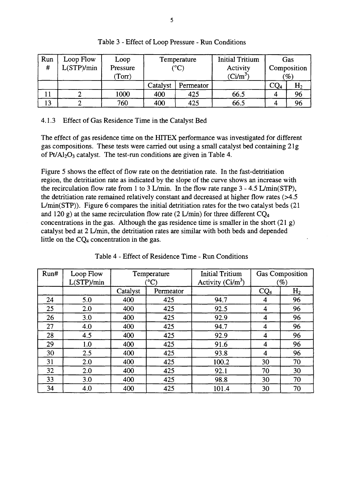| Run | Loop Flow | Loop     |          | Temperature            | <b>Initial Tritium</b> |        | Gas             |
|-----|-----------|----------|----------|------------------------|------------------------|--------|-----------------|
| #   | L(STP/min | Pressure |          | $(^{\circ}\mathrm{C})$ | Activity               |        | Composition     |
|     |           | (Torr)   |          |                        | $(Ci/m^3)$             |        | $\mathscr{G}_o$ |
|     |           |          | Catalyst | Permeator              |                        | $CQ_4$ | H <sub>2</sub>  |
|     |           | 1000     | 400      | 425                    | 66.5                   |        | 96              |
| 13  |           | 760      | 400      | 425                    | 66.5                   |        | 96              |

Table 3 - Effect of Loop Pressure - Run Conditions

#### 4.1.3 Effect of Gas Residence Time in the Catalyst Bed

The effect of gas residence time on the HITEX performance was investigated for different gas compositions. These tests were carried out using a small catalyst bed containing 21g of  $Pt/Al_2O_3$  catalyst. The test-run conditions are given in Table 4.

Figure 5 shows the effect of flow rate on the detritiation rate. In the fast-detritiation region, the detritiation rate as indicated by the slope of the curve shows an increase with the recirculation flow rate from 1 to 3 L/min. In the flow rate range  $3 - 4.5$  L/min(STP), the detritiation rate remained relatively constant and decreased at higher flow rates (>4.5 L/min(STP)). Figure 6 compares the initial detritiation rates for the two catalyst beds (21 and 120 g) at the same recirculation flow rate (2 L/min) for three different  $CQ_4$ concentrations in the gas. Although the gas residence time is smaller in the short  $(21 g)$ catalyst bed at 2 L/min, the detritiation rates are similar with both beds and depended little on the  $CQ_4$  concentration in the gas.

| Run# | Loop Flow<br>L(STP)/min |          | Temperature<br>$\rm ^{\circ}C)$ | <b>Initial Tritium</b><br>Activity $(Ci/m^3)$ |                 | <b>Gas Composition</b><br>$(\%)$ |
|------|-------------------------|----------|---------------------------------|-----------------------------------------------|-----------------|----------------------------------|
|      |                         | Catalyst | Permeator                       |                                               | CQ <sub>4</sub> | H <sub>2</sub>                   |
| 24   | 5.0                     | 400      | 425                             | 94.7                                          | 4               | 96                               |
| 25   | 2.0                     | 400      | 425                             | 92.5                                          | 4               | 96                               |
| 26   | 3.0                     | 400      | 425                             | 92.9                                          | 4               | 96                               |
| 27   | 4.0                     | 400      | 425                             | 94.7                                          | 4               | 96                               |
| 28   | 4.5                     | 400      | 425                             | 92.9                                          | 4               | 96                               |
| 29   | 1.0                     | 400      | 425                             | 91.6                                          | 4               | 96                               |
| 30   | 2.5                     | 400      | 425                             | 93.8                                          | 4               | 96                               |
| 31   | 2.0                     | 400      | 425                             | 100.2                                         | 30              | 70                               |
| 32   | 2.0                     | 400      | 425                             | 92.1                                          | 70              | 30                               |
| 33   | 3.0                     | 400      | 425                             | 98.8                                          | 30              | 70                               |
| 34   | 4.0                     | 400      | 425                             | 101.4                                         | 30              | 70                               |

Table 4 - Effect of Residence Time - Run Conditions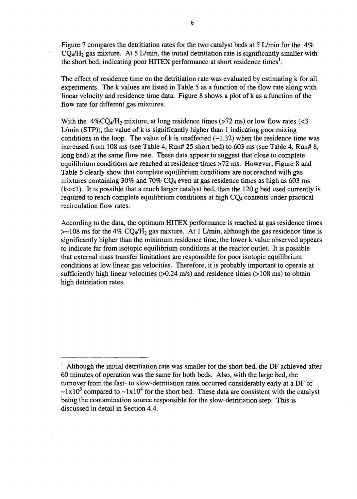Figure 7 compares the detritiation rates for the two catalyst beds at 5 L/min for the 4%  $CO<sub>4</sub>/H<sub>2</sub>$  gas mixture. At 5 L/min, the initial detritiation rate is significantly smaller with the short bed, indicating poor HITEX performance at short residence times<sup>1</sup>.

The effect of residence time on the detritiation rate was evaluated by estimating k for all experiments. The k values are listed in Table 5 as a function of the flow rate along with linear velocity and residence time data. Figure 8 shows a plot of k as a function of the flow rate for different gas mixtures.

With the  $4\%$ CQ<sub>4</sub>/H<sub>2</sub> mixture, at long residence times (>72 ms) or low flow rates (<3 L/min (STP)), the value of k is significantly higher than 1 indicating poor mixing conditions in the loop. The value of k is unaffected  $(-1.32)$  when the residence time was increased from 108 ms (see Table 4, Run# 25 short bed) to 603 ms (see Table 4, Run# 8, long bed) at the same flow rate. These data appear to suggest that close to complete equilibrium conditions are reached at residence times >72 ms. However, Figure 8 and Table 5 clearly show that complete equilibrium conditions are not reached with gas mixtures containing 30% and 70%  $CQ_4$  even at gas residence times as high as 603 ms  $(k<<1)$ . It is possible that a much larger catalyst bed, than the 120 g bed used currently is required to reach complete equilibrium conditions at high CQ<sub>4</sub> contents under practical recirculation flow rates.

According to the data, the optimum HTTEX performance is reached at gas residence times  $>-108$  ms for the 4% CQ<sub>4</sub>/H<sub>2</sub> gas mixture. At 1 L/min, although the gas residence time is significantly higher than the minimum residence time, the lower k value observed appears to indicate far from isotopic equilibrium conditions at the reactor outlet. It is possible that external mass transfer limitations are responsible for poor isotopic equilibrium conditions at low linear gas velocities. Therefore, it is probably important to operate at sufficiently high linear velocities ( $>0.24$  m/s) and residence times ( $>108$  ms) to obtain high detritiation rates.

<sup>1</sup> Although the initial detritiation rate was smaller for the short bed, the DF achieved after 60 minutes of operation was the same for both beds. Also, with the large bed, the turnover from the fast- to slow-detritiation rates occurred considerably early at a DF of  $\sim 1 \times 10^3$  compared to  $\sim 1 \times 10^4$  for the short bed. These data are consistent with the catalyst being the contamination source responsible for the slow-detritiation step. This is discussed in detail in Section 4.4.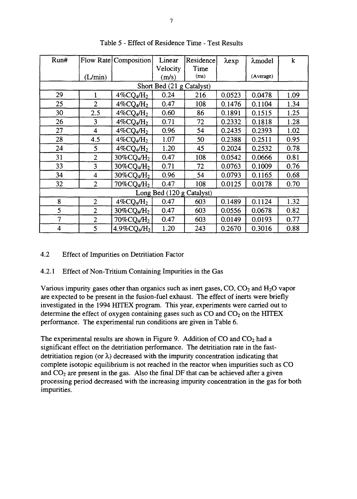| Run#                    |                         | Flow Rate   Composition                | Linear<br>Velocity        | Residence<br>Time | $\lambda$ exp | $\lambda$ model | k    |
|-------------------------|-------------------------|----------------------------------------|---------------------------|-------------------|---------------|-----------------|------|
|                         | (L/min)                 |                                        | (m/s)                     | (ms)              |               | (Average)       |      |
|                         |                         |                                        | Short Bed (21 g Catalyst) |                   |               |                 |      |
| 29                      |                         | $4\%$ CQ4/H <sub>2</sub>               | 0.24                      | 216               | 0.0523        | 0.0478          | 1.09 |
| 25                      | $\overline{2}$          | $4\%$ CQ4/H <sub>2</sub>               | 0.47                      | 108               | 0.1476        | 0.1104          | 1.34 |
| 30                      | 2.5                     | $4\%$ CQ4/H <sub>2</sub>               | 0.60                      | 86                | 0.1891        | 0.1515          | 1.25 |
| 26                      | 3                       | $4\%$ CQ4/H <sub>2</sub>               | 0.71                      | 72                | 0.2332        | 0.1818          | 1.28 |
| 27                      | $\overline{\mathbf{4}}$ | $4\%$ CQ <sub>4</sub> /H <sub>2</sub>  | 0.96                      | 54                | 0.2435        | 0.2393          | 1.02 |
| 28                      | 4.5                     | $4\%$ CQ4/H <sub>2</sub>               | 1.07                      | 50                | 0.2388        | 0.2511          | 0.95 |
| 24                      | 5                       | $4\%$ CQ4/H <sub>2</sub>               | 1.20                      | 45                | 0.2024        | 0.2532          | 0.78 |
| 31                      | $\overline{2}$          | 30%CQ4/H <sub>2</sub>                  | 0.47                      | 108               | 0.0542        | 0.0666          | 0.81 |
| 33                      | 3                       | $30\%$ CQ <sub>4</sub> /H <sub>2</sub> | 0.71                      | 72                | 0.0763        | 0.1009          | 0.76 |
| 34                      | $\overline{4}$          | $30\%$ CQ <sub>4</sub> /H <sub>2</sub> | 0.96                      | 54                | 0.0793        | 0.1165          | 0.68 |
| 32                      | $\overline{2}$          | $70\%$ CQ4/ $\mathrm{H}_2$             | 0.47                      | 108               | 0.0125        | 0.0178          | 0.70 |
|                         |                         |                                        | Long Bed (120 g Catalyst) |                   |               |                 |      |
| 8                       | $\overline{2}$          | $4\%$ CQ <sub>4</sub> /H <sub>2</sub>  | 0.47                      | 603               | 0.1489        | 0.1124          | 1.32 |
| 5                       | $\overline{2}$          | 30%CQ4/H <sub>2</sub>                  | 0.47                      | 603               | 0.0556        | 0.0678          | 0.82 |
| 7                       | $\overline{2}$          | $70\%$ CQ4/H <sub>2</sub>              | 0.47                      | 603               | 0.0149        | 0.0193          | 0.77 |
| $\overline{\mathbf{4}}$ | 5                       | $4.9\%$ CQ4/H <sub>2</sub>             | 1.20                      | 243               | 0.2670        | 0.3016          | 0.88 |

Table 5 - Effect of Residence Time - Test Results

## 4.2 Effect of Impurities on Detritiation Factor

#### 4.2.1 Effect of Non-Tritium Containing Impurities in the Gas

Various impurity gases other than organics such as inert gases,  $CO$ ,  $CO<sub>2</sub>$  and  $H<sub>2</sub>O$  vapor are expected to be present in the fusion-fuel exhaust. The effect of inerts were briefly investigated in the 1994 HTTEX program. This year, experiments were carried out to determine the effect of oxygen containing gases such as  $CO$  and  $CO<sub>2</sub>$  on the HITEX performance. The experimental run conditions are given in Table 6.

The experimental results are shown in Figure 9. Addition of  $CO$  and  $CO<sub>2</sub>$  had a significant effect on the detritiation performance. The detritiation rate in the fastdetritiation region (or  $\lambda$ ) decreased with the impurity concentration indicating that complete isotopic equilibrium is not reached in the reactor when impurities such as CO and  $CO<sub>2</sub>$  are present in the gas. Also the final DF that can be achieved after a given processing period decreased with the increasing impurity concentration in the gas for both impurities.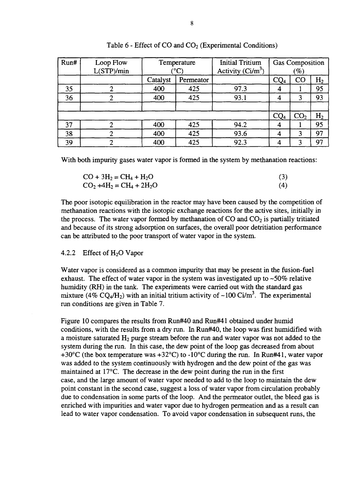| Run# | Loop Flow<br>L(STP)/min |          | Temperature<br>ംட | <b>Initial Tritium</b><br>Activity $(Ci/m^3)$ |                 | <b>Gas Composition</b><br>$\mathscr{G}_o)$ |                |
|------|-------------------------|----------|-------------------|-----------------------------------------------|-----------------|--------------------------------------------|----------------|
|      |                         | Catalyst | Permeator         |                                               | CQ <sub>4</sub> | $_{\rm CO}$                                | H <sub>2</sub> |
| 35   |                         | 400      | 425               | 97.3                                          |                 |                                            | 95             |
| 36   |                         | 400      | 425               | 93.1                                          |                 | 3                                          | 93             |
|      |                         |          |                   |                                               |                 |                                            |                |
|      |                         |          |                   |                                               | CQ <sub>4</sub> | CO <sub>2</sub>                            | H <sub>2</sub> |
| 37   |                         | 400      | 425               | 94.2                                          |                 |                                            | 95             |
| 38   |                         | 400      | 425               | 93.6                                          |                 | 3                                          | 97             |
| 39   |                         | 400      | 425               | 92.3                                          |                 |                                            | 97             |

Table  $6$  - Effect of CO and  $CO<sub>2</sub>$  (Experimental Conditions)

With both impurity gases water vapor is formed in the system by methanation reactions:

| $CO + 3H_2 = CH_4 + H_2O$    |     |
|------------------------------|-----|
| $CO_2 + 4H_2 = CH_4 + 2H_2O$ | (4) |

The poor isotopic equilibration in the reactor may have been caused by the competition of methanation reactions with the isotopic exchange reactions for the active sites, initially in the process. The water vapor formed by methanation of  $CO$  and  $CO<sub>2</sub>$  is partially tritiated and because of its strong adsorption on surfaces, the overall poor detritiation performance can be attributed to the poor transport of water vapor in the system.

#### 4.2.2 Effect of  $H_2O$  Vapor

Water vapor is considered as a common impurity that may be present in the fusion-fuel exhaust. The effect of water vapor in the system was investigated up to  $-50\%$  relative humidity (RH) in the tank. The experiments were carried out with the standard gas mixture (4% CQ<sub>4</sub>/H<sub>2</sub>) with an initial tritium activity of ~100 Ci/m<sup>3</sup>. The experimental run conditions are given in Table 7.

Figure 10 compares the results from Run#40 and Run#41 obtained under humid conditions, with the results from a dry run. In Run#40, the loop was first humidified with a moisture saturated  $H_2$  purge stream before the run and water vapor was not added to the system during the run. In this case, the dew point of the loop gas decreased from about +30 $\rm{^{\circ}C}$  (the box temperature was +32 $\rm{^{\circ}C}$ ) to -10 $\rm{^{\circ}C}$  during the run. In Run#41, water vapor was added to the system continuously with hydrogen and the dew point of the gas was maintained at 17°C. The decrease in the dew point during the run in the first case, and the large amount of water vapor needed to add to the loop to maintain the dew point constant in the second case, suggest a loss of water vapor from circulation probably due to condensation in some parts of the loop. And the permeator outlet, the bleed gas is enriched with impurities and water vapor due to hydrogen permeation and as a result can lead to water vapor condensation. To avoid vapor condensation in subsequent runs, the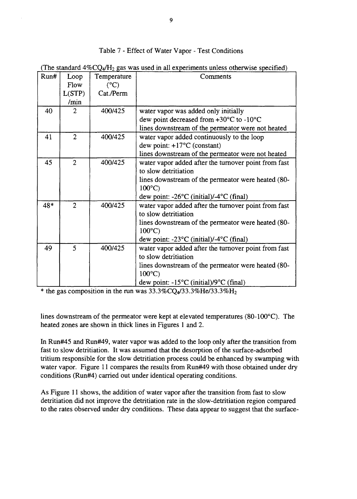### Table 7 - Effect of Water Vapor - Test Conditions

(The standard  $4\%$ CO $_4$ /H<sub>2</sub> gas was used in all experiments unless otherwise specified)

| Run# | Loop           | - -<br>Temperature | Comments                                                                     |
|------|----------------|--------------------|------------------------------------------------------------------------------|
|      | Flow           | $(^{\circ}C)$      |                                                                              |
|      | L(STP)         | Cat./Perm          |                                                                              |
|      | /min           |                    |                                                                              |
| 40   | 2              | 400/425            | water vapor was added only initially                                         |
|      |                |                    | dew point decreased from $+30^{\circ}$ C to -10°C                            |
|      |                |                    | lines downstream of the permeator were not heated                            |
| 41   | $\overline{2}$ | 400/425            | water vapor added continuously to the loop                                   |
|      |                |                    | dew point: $+17^{\circ}$ C (constant)                                        |
|      |                |                    | lines downstream of the permeator were not heated                            |
| 45   | $\overline{2}$ | 400/425            | water vapor added after the turnover point from fast                         |
|      |                |                    | to slow detritiation                                                         |
|      |                |                    | lines downstream of the permeator were heated (80-<br>$100^{\circ}$ C)       |
|      |                |                    | dew point: - $26^{\circ}$ C (initial)/- $4^{\circ}$ C (final)                |
| 48*  | $\overline{2}$ | 400/425            | water vapor added after the turnover point from fast<br>to slow detritiation |
|      |                |                    | lines downstream of the permeator were heated (80-<br>$100^{\circ}$ C)       |
|      |                |                    | dew point: $-23^{\circ}$ C (initial)/-4 $^{\circ}$ C (final)                 |
| 49   | 5              | 400/425            | water vapor added after the turnover point from fast                         |
|      |                |                    | to slow detritiation                                                         |
|      |                |                    | lines downstream of the permeator were heated (80-<br>$100^{\circ}$ C)       |
|      |                |                    | dew point: $-15^{\circ}$ C (initial)/9 $^{\circ}$ C (final)                  |

\* the gas composition in the run was  $33.3\%$ CQ $\frac{\cancel{0}}{4}$  $33.3\%$ He/33.3%H<sub>2</sub>

lines downstream of the permeator were kept at elevated temperatures (80-100°C). The heated zones are shown in thick lines in Figures 1 and 2.

In Run#45 and Run#49, water vapor was added to the loop only after the transition from fast to slow detritiation. It was assumed that the desorption of the surface-adsorbed tritium responsible for the slow detritiation process could be enhanced by swamping with water vapor. Figure 11 compares the results from Run#49 with those obtained under dry conditions (Run#4) carried out under identical operating conditions.

As Figure 11 shows, the addition of water vapor after the transition from fast to slow detritiation did not improve the detritiation rate in the slow-detritiation region compared to the rates observed under dry conditions. These data appear to suggest that the surface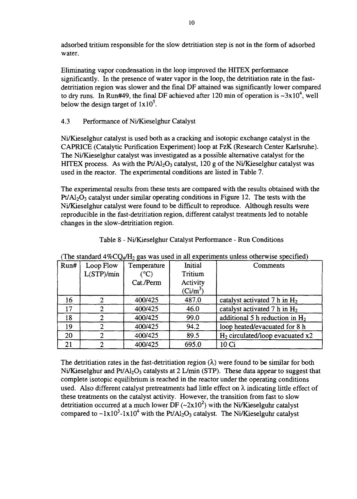adsorbed tritium responsible for the slow detritiation step is not in the form of adsorbed water.

Eliminating vapor condensation in the loop improved the HITEX performance significantly. In the presence of water vapor in the loop, the detritiation rate in the fastdetritiation region was slower and the final DF attained was significantly lower compared to dry runs. In Run#49, the final DF achieved after 120 min of operation is  $\sim 3 \times 10^4$ , well below the design target of  $1x10^5$ .

## 4.3 Performance of Ni/Kieselghur Catalyst

Ni/Kieselghur catalyst is used both as a cracking and isotopic exchange catalyst in the CAPRICE (Catalytic Purification Experiment) loop at FzK (Research Center Karlsruhe). The Ni/Kieselghur catalyst was investigated as a possible alternative catalyst for the HITEX process. As with the  $Pt/Al_2O_3$  catalyst, 120 g of the Ni/Kieselghur catalyst was used in the reactor. The experimental conditions are listed in Table 7.

The experimental results from these tests are compared with the results obtained with the  $Pt/Al<sub>2</sub>O<sub>3</sub>$  catalyst under similar operating conditions in Figure 12. The tests with the Ni/Kieselghur catalyst were found to be difficult to reproduce. Although results were reproducible in the fast-detritiation region, different catalyst treatments led to notable changes in the slow-detritiation region.

|      |           |                  |            | The standard $\pm \pi \sqrt{Q} \sqrt{q} \pi \sqrt{q}$ gas was used in an experiments uness otherwise specified, |
|------|-----------|------------------|------------|-----------------------------------------------------------------------------------------------------------------|
| Run# | Loop Flow | Temperature      | Initial    | Comments                                                                                                        |
|      | L(STP/min | $^\circ{\rm C})$ | Tritium    |                                                                                                                 |
|      |           | Cat./Perm        | Activity   |                                                                                                                 |
|      |           |                  | $(Ci/m^3)$ |                                                                                                                 |
| 16   |           | 400/425          | 487.0      | catalyst activated $7 h$ in $H_2$                                                                               |
| 17   |           | 400/425          | 46.0       | catalyst activated $7 h$ in $H_2$                                                                               |
| 18   |           | 400/425          | 99.0       | additional 5 h reduction in $H_2$                                                                               |
| 19   |           | 400/425          | 94.2       | loop heated/evacuated for 8 h                                                                                   |
| 20   | 2         | 400/425          | 89.5       | $H_2$ circulated/loop evacuated x2                                                                              |
| 21   | ∍         | 400/425          | 695.0      | 10 Ci                                                                                                           |

| Table 8 - Ni/Kieselghur Catalyst Performance - Run Conditions |
|---------------------------------------------------------------|
|---------------------------------------------------------------|

(The standard  $4\%$ CO/H<sub>2</sub> gas was used in all experiments unless otherwise specified)

The detritiation rates in the fast-detritiation region  $(\lambda)$  were found to be similar for both Ni/Kieselghur and Pt/Al<sub>2</sub>O<sub>3</sub> catalysts at 2 L/min (STP). These data appear to suggest that complete isotopic equilibrium is reached in the reactor under the operating conditions used. Also different catalyst pretreatments had little effect on  $\lambda$  indicating little effect of these treatments on the catalyst activity. However, the transition from fast to slow detritiation occurred at a much lower DF ( $\sim$ 2x10<sup>2</sup>) with the Ni/Kieselguhr catalyst compared to  $\sim 1 \times 10^3$ -1x10<sup>4</sup> with the Pt/Al<sub>2</sub>O<sub>3</sub> catalyst. The Ni/Kieselguhr catalyst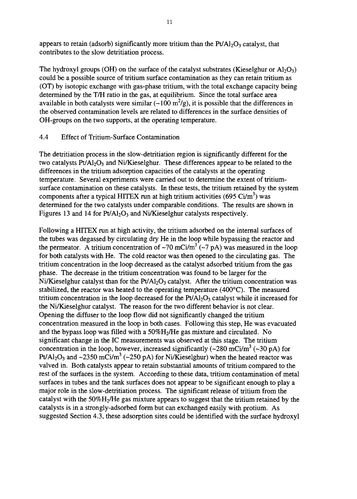appears to retain (adsorb) significantly more tritium than the  $Pt/Al<sub>2</sub>O<sub>3</sub>$  catalyst, that contributes to the slow detritiation process.

The hydroxyl groups (OH) on the surface of the catalyst substrates (Kieselghur or  $Al_2O_3$ ) could be a possible source of tritium surface contamination as they can retain tritium as (OT) by isotopic exchange with gas-phase tritium, with the total exchange capacity being determined by the T/H ratio in the gas, at equilibrium. Since the total surface area available in both catalysts were similar ( $\sim 100 \text{ m}^2/\text{g}$ ), it is possible that the differences in the observed contamination levels are related to differences in the surface densities of OH-groups on the two supports, at the operating temperature.

#### 4.4 Effect of Tritium-Surface Contamination

The detritiation process in the slow-detritiation region is significantly different for the two catalysts  $Pt/Al_2O_3$  and Ni/Kieselghur. These differences appear to be related to the differences in the tritium adsorption capacities of the catalysts at the operating temperature. Several experiments were carried out to determine the extent of tritiumsurface contamination on these catalysts. In these tests, the tritium retained by the system components after a typical HITEX run at high tritium activities (695 Ci/m<sup>3</sup>) was determined for the two catalysts under comparable conditions. The results are shown in Figures 13 and 14 for  $Pt/Al_2O_3$  and Ni/Kieselghur catalysts respectively.

Following a HITEX run at high activity, the tritium adsorbed on the internal surfaces of the tubes was degassed by circulating dry He in the loop while bypassing the reactor and the permeator. A tritium concentration of ~70 mCi/m<sup>3</sup> (~7 pA) was measured in the loop for both catalysts with He. The cold reactor was then opened to the circulating gas. The tritium concentration in the loop decreased as the catalyst adsorbed tritium from the gas phase. The decrease in the tritium concentration was found to be larger for the Ni/Kieselghur catalyst than for the  $Pt/Al_2O_3$  catalyst. After the tritium concentration was stabilized, the reactor was heated to the operating temperature (400°C). The measured tritium concentration in the loop decreased for the  $Pt/Al<sub>2</sub>O<sub>3</sub>$  catalyst while it increased for the Ni/Kieselghur catalyst. The reason for the two different behavior is not clear. Opening the diffuser to the loop flow did not significantly changed the tritium concentration measured in the loop in both cases. Following this step, He was evacuated and the bypass loop was filled with a  $50\%H<sub>2</sub>/He$  gas mixture and circulated. No significant change in the IC measurements was observed at this stage. The tritium concentration in the loop, however, increased significantly  $(\sim 280 \text{ mC})/m^3$  ( $\sim 30 \text{ pA}$ ) for  $Pt/Al_2O_3$  and  $\sim$ 2350 mCi/m<sup>3</sup> ( $\sim$ 250 pA) for Ni/Kieselghur) when the heated reactor was valved in. Both catalysts appear to retain substantial amounts of tritium compared to the rest of the surfaces in the system. According to these data, tritium contamination of metal surfaces in tubes and the tank surfaces does not appear to be significant enough to play a major role in the slow-detritiation process. The significant release of tritium from the catalyst with the  $50\%$ H<sub>2</sub>/He gas mixture appears to suggest that the tritium retained by the catalysts is in a strongly-adsorbed form but can exchanged easily with protium. As suggested Section 4.3, these adsorption sites could be identified with the surface hydroxyl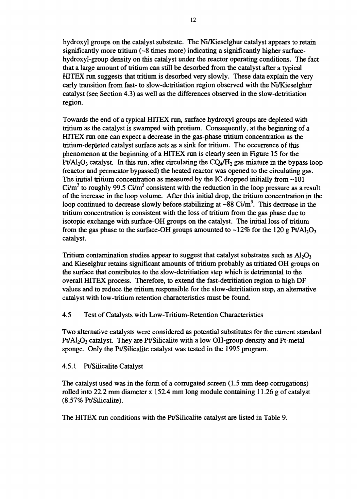hydroxyl groups on the catalyst substrate. The Ni/Kieselghur catalyst appears to retain significantly more tritium (~8 times more) indicating a significantly higher surfacehydroxyl-group density on this catalyst under the reactor operating conditions. The fact that a large amount of tritium can still be desorbed from the catalyst after a typical HITEX run suggests that tritium is desorbed very slowly. These data explain the very early transition from fast- to slow-detritiation region observed with the Ni/Kieselghur catalyst (see Section 4.3) as well as the differences observed in the slow-detritiation region.

Towards the end of a typical HITEX run, surface hydroxyl groups are depleted with tritium as the catalyst is swamped with protium. Consequently, at the beginning of a HITEX run one can expect a decrease in the gas-phase tritium concentration as the tritium-depleted catalyst surface acts as a sink for tritium. The occurrence of this phenomenon at the beginning of a HITEX run is clearly seen in Figure 15 for the Pt/Al<sub>2</sub>O<sub>3</sub> catalyst. In this run, after circulating the  $CO<sub>4</sub>/H<sub>2</sub>$  gas mixture in the bypass loop (reactor and permeator bypassed) the heated reactor was opened to the circulating gas. The initial tritium concentration as measured by the IC dropped initially from  $-101$ Ci/m<sup>3</sup> to roughly 99.5 Ci/m<sup>3</sup> consistent with the reduction in the loop pressure as a result of the increase in the loop volume. After this initial drop, the tritium concentration in the loop continued to decrease slowly before stabilizing at  $\sim 88$  Ci/m<sup>3</sup>. This decrease in the tritium concentration is consistent with the loss of tritium from the gas phase due to isotopic exchange with surface-OH groups on the catalyst. The initial loss of tritium from the gas phase to the surface-OH groups amounted to  $\sim$ 12% for the 120 g Pt/Al<sub>2</sub>O<sub>3</sub> catalyst.

Tritium contamination studies appear to suggest that catalyst substrates such as  $A I_2 O_3$ and Kieselghur retains significant amounts of tritium probably as tritiated OH groups on the surface that contributes to the slow-detritiation step which is detrimental to the overall HITEX process. Therefore, to extend the fast-detritiation region to high DF values and to reduce the tritium responsible for the slow-detritiation step, an alternative catalyst with low-tritium retention characteristics must be found.

4.5 Test of Catalysts with Low-Tritium-Retention Characteristics

Two alternative catalysts were considered as potential substitutes for the current standard  $Pt/Al_2O_3$  catalyst. They are Pt/Silicalite with a low OH-group density and Pt-metal sponge. Only the Pt/Silicalite catalyst was tested in the 1995 program.

## 4.5.1 Pt/Silicalite Catalyst

The catalyst used was in the form of a corrugated screen (1.5 mm deep corrugations) rolled into 22.2 mm diameter x 152.4 mm long module containing 11.26 g of catalyst (8.57% Pt/Silicalite).

The HITEX run conditions with the Pt/Silicalite catalyst are listed in Table 9.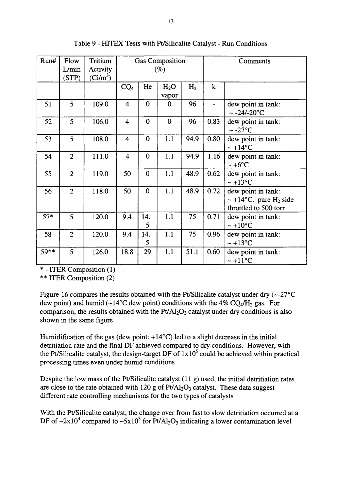| Run#  | Flow           | Tritium    | Gas Composition         |                |                  |                | Comments |                                                                                        |  |
|-------|----------------|------------|-------------------------|----------------|------------------|----------------|----------|----------------------------------------------------------------------------------------|--|
|       | L/min          | Activity   | $(\%)$                  |                |                  |                |          |                                                                                        |  |
|       | (STP)          | $(Ci/m^3)$ |                         |                |                  |                |          |                                                                                        |  |
|       |                |            | CQ <sub>4</sub>         | He             | H <sub>2</sub> O | H <sub>2</sub> | $\bf k$  |                                                                                        |  |
|       |                |            |                         |                | vapor            |                |          |                                                                                        |  |
| 51    | 5              | 109.0      | $\overline{\mathbf{4}}$ | $\bf{0}$       | 0                | 96             |          | dew point in tank:<br>$\sim$ -24/-20 $^{\circ}$ C                                      |  |
| 52    | 5              | 106.0      | $\overline{\mathbf{4}}$ | $\bf{0}$       | $\bf{0}$         | 96             | 0.83     | dew point in tank:<br>$\sim$ -27°C                                                     |  |
| 53    | 5              | 108.0      | $\overline{\mathbf{4}}$ | $\bf{0}$       | 1.1              | 94.9           | 0.80     | dew point in tank:<br>$\sim +14$ °C                                                    |  |
| 54    | $\overline{2}$ | 111.0      | $\overline{\mathbf{4}}$ | $\bf{0}$       | 1.1              | 94.9           | 1.16     | dew point in tank:<br>$\sim +6$ °C                                                     |  |
| 55    | $\overline{2}$ | 119.0      | 50                      | $\overline{0}$ | 1.1              | 48.9           | 0.62     | dew point in tank:<br>$\sim +13^{\circ}C$                                              |  |
| 56    | $\overline{2}$ | 118.0      | 50                      | $\bf{0}$       | 1.1              | 48.9           | 0.72     | dew point in tank:<br>$\sim +14$ °C. pure H <sub>2</sub> side<br>throttled to 500 torr |  |
| $57*$ | 5              | 120.0      | 9.4                     | 14.<br>5       | 1.1              | 75             | 0.71     | dew point in tank:<br>$\sim +10$ °C                                                    |  |
| 58    | $\overline{2}$ | 120.0      | 9.4                     | 14.<br>5       | 1.1              | 75             | 0.96     | dew point in tank:<br>$\sim +13$ °C                                                    |  |
| 59**  | 5              | 126.0      | 18.8                    | 29             | 1.1              | 51.1           | 0.60     | dew point in tank:<br>$\sim +11^{\circ}C$                                              |  |

Table 9 - HITEX Tests with Pt/Silicalite Catalyst - Run Conditions

\* - ITER Composition (1)

\*\* ITER Composition (2)

Figure 16 compares the results obtained with the Pt/Silicalite catalyst under dry  $(-27^{\circ}C)$ dew point) and humid (~14°C dew point) conditions with the 4%  $CQ_4/H_2$  gas. For comparison, the results obtained with the  $Pt/Al<sub>2</sub>O<sub>3</sub>$  catalyst under dry conditions is also shown in the same figure.

Humidification of the gas (dew point:  $+14^{\circ}$ C) led to a slight decrease in the initial detritiation rate and the final DF achieved compared to dry conditions. However, with the Pt/Silicalite catalyst, the design-target DF of  $1x10^5$  could be achieved within practical processing times even under humid conditions

Despite the low mass of the Pt/Silicalite catalyst  $(11 g)$  used, the initial detritiation rates are close to the rate obtained with 120 g of  $Pt/Al_2O_3$  catalyst. These data suggest different rate controlling mechanisms for the two types of catalysts

With the Pt/Silicalite catalyst, the change over from fast to slow detritiation occurred at a DF of  $\sim$ 2x10<sup>4</sup> compared to  $\sim$ 5x10<sup>3</sup> for Pt/Al<sub>2</sub>O<sub>3</sub> indicating a lower contamination level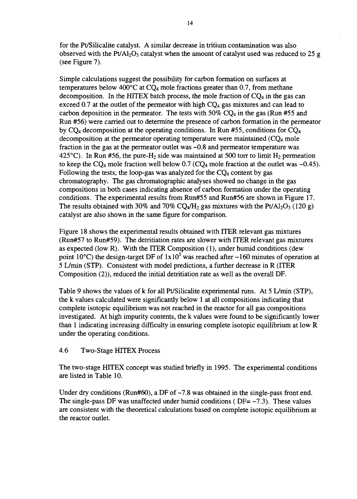for the Pt/Silicalite catalyst. A similar decrease in tritium contamination was also observed with the Pt/Al<sub>2</sub>O<sub>3</sub> catalyst when the amount of catalyst used was reduced to 25 g (see Figure 7).

Simple calculations suggest the possibility for carbon formation on surfaces at temperatures below 400 $^{\circ}$ C at CQ<sub>4</sub> mole fractions greater than 0.7, from methane decomposition. In the HITEX batch process, the mole fraction of  $CQ<sub>4</sub>$  in the gas can exceed 0.7 at the outlet of the permeator with high  $CQ<sub>4</sub>$  gas mixtures and can lead to carbon deposition in the permeator. The tests with  $50\%$  CQ<sub>4</sub> in the gas (Run #55 and Run #56) were carried out to determine the presence of carbon formation in the permeator by  $CQ_4$  decomposition at the operating conditions. In Run #55, conditions for  $CQ_4$ decomposition at the permeator operating temperature were maintained  $(CQ<sub>4</sub>$  mole fraction in the gas at the permeator outlet was  $\sim 0.8$  and permeator temperature was 425°C). In Run #56, the pure-H<sub>2</sub> side was maintained at 500 torr to limit H<sub>2</sub> permeation to keep the CQ<sub>4</sub> mole fraction well below 0.7 (CQ<sub>4</sub> mole fraction at the outlet was ~0.45). Following the tests, the loop-gas was analyzed for the  $CO<sub>4</sub>$  content by gas chromatography. The gas chromatographic analyses showed no change in the gas compositions in both cases indicating absence of carbon formation under the operating conditions. The experimental results from Run#55 and Run#56 are shown in Figure 17. The results obtained with 30% and 70% CQ<sub>4</sub>/H<sub>2</sub> gas mixtures with the Pt/Al<sub>2</sub>O<sub>3</sub> (120 g) catalyst are also shown in the same figure for comparison.

Figure 18 shows the experimental results obtained with ITER relevant gas mixtures (Run#57 to Run#59). The detritiation rates are slower with ITER relevant gas mixtures as expected (low R). With the ITER Composition (1), under humid conditions (dew point 10°C) the design-target DF of  $1x10^5$  was reached after ~160 minutes of operation at 5 L/min (STP). Consistent with model predictions, a further decrease in R (ITER Composition (2)), reduced the initial detritiation rate as well as the overall DF.

Table 9 shows the values of k for all Pt/Silicalite experimental runs. At 5 L/min (STP), the k values calculated were significantly below 1 at all compositions indicating that complete isotopic equilibrium was not reached in the reactor for all gas compositions investigated. At high impurity contents, the k values were found to be significantly lower than 1 indicating increasing difficulty in ensuring complete isotopic equilibrium at low R under the operating conditions.

## 4.6 Two-Stage HTTEX Process

The two-stage HITEX concept was studied briefly in 1995. The experimental conditions are listed in Table 10.

Under dry conditions (Run#60), a DF of  $\sim$  7.8 was obtained in the single-pass front end. The single-pass DF was unaffected under humid conditions ( $DF = -7.3$ ). These values are consistent with the theoretical calculations based on complete isotopic equilibrium at the reactor outlet.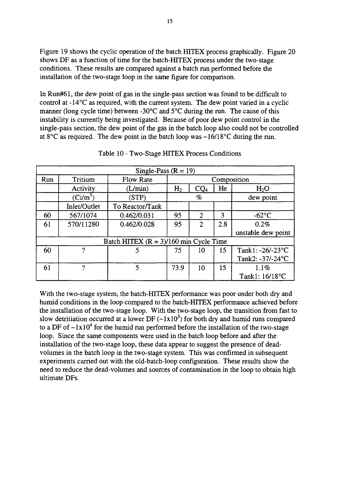Figure 19 shows the cyclic operation of the batch HITEX process graphically. Figure 20 shows DF as a function of time for the batch-HITEX process under the two-stage conditions. These results are compared against a batch run performed before the installation of the two-stage loop in the same figure for comparison.

In Run#61, the dew point of gas in the single-pass section was found to be difficult to control at -14°C as required, with the current system. The dew point varied in a cyclic manner (long cycle time) between -30°C and 5°C during the run. The cause of this instability is currently being investigated. Because of poor dew point control in the single-pass section, the dew point of the gas in the batch loop also could not be controlled at  $8^{\circ}$ C as required. The dew point in the batch loop was  $\sim$ 16/18 $^{\circ}$ C during the run.

| Single-Pass $(R = 19)$                   |              |                  |                |                             |     |                    |  |  |  |  |  |  |
|------------------------------------------|--------------|------------------|----------------|-----------------------------|-----|--------------------|--|--|--|--|--|--|
| Run                                      | Tritium      | <b>Flow Rate</b> | Composition    |                             |     |                    |  |  |  |  |  |  |
|                                          | Activity     | (L/min)          | H <sub>2</sub> | $\text{CQ}_4$               | He  | H <sub>2</sub> O   |  |  |  |  |  |  |
|                                          | $(Ci/m^3)$   | (STP)            | %              |                             |     | dew point          |  |  |  |  |  |  |
|                                          | Inlet/Outlet | To Reactor/Tank  |                |                             |     |                    |  |  |  |  |  |  |
| 60                                       | 567/1074     | 0.462/0.031      | 95             | $\mathfrak{D}$              | 3   | $-62$ °C           |  |  |  |  |  |  |
| 61                                       | 570/11280    | 0.462/0.028      | 95             | $\mathcal{D}_{\mathcal{L}}$ | 2.8 | 0.2%               |  |  |  |  |  |  |
|                                          |              |                  |                |                             |     | unstable dew point |  |  |  |  |  |  |
| Batch HITEX $(R = 3)/160$ min Cycle Time |              |                  |                |                             |     |                    |  |  |  |  |  |  |
| 60                                       | n,           |                  | 75             | 10                          | 15  | Tank1: -26/-23°C   |  |  |  |  |  |  |
|                                          |              |                  |                |                             |     | Tank2: -37/-24°C   |  |  |  |  |  |  |
| 61                                       | 2            | 5                | 73.9           | 10                          | 15  | 1.1%               |  |  |  |  |  |  |
|                                          |              |                  |                |                             |     | Tank1: 16/18°C     |  |  |  |  |  |  |

Table 10 - Two-Stage HITEX Process Conditions

With the two-stage system, the batch-HITEX performance was poor under both dry and humid conditions in the loop compared to the batch-HITEX performance achieved before the installation of the two-stage loop. With the two-stage loop, the transition from fast to slow detritiation occurred at a lower DF  $(-1x10^3)$  for both dry and humid runs compared to a DF of  $\sim 1x10^4$  for the humid run performed before the installation of the two-stage loop. Since the same components were used in the batch loop before and after the installation of the two-stage loop, these data appear to suggest the presence of deadvolumes in the batch loop in the two-stage system. This was confirmed in subsequent experiments carried out with the old-batch-loop configuration. These results show the need to reduce the dead-volumes and sources of contamination in the loop to obtain high ultimate DFs.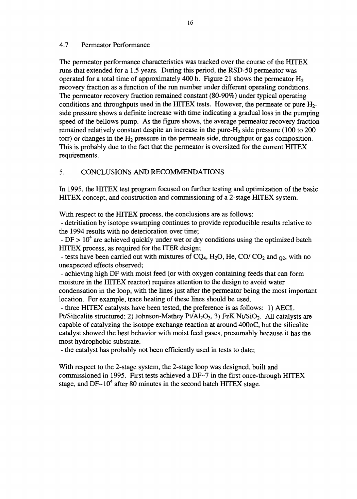#### 4.7 Permeator Performance

The permeator performance characteristics was tracked over the course of the HTTEX runs that extended for a 1.5 years. During this period, the RSD-50 permeator was operated for a total time of approximately 400 h. Figure 21 shows the permeator  $H_2$ recovery fraction as a function of the run number under different operating conditions. The permeator recovery fraction remained constant (80-90%) under typical operating conditions and throughputs used in the HITEX tests. However, the permeate or pure  $H_2$ side pressure shows a definite increase with time indicating a gradual loss in the pumping speed of the bellows pump. As the figure shows, the average permeator recovery fraction remained relatively constant despite an increase in the pure-H2 side pressure (100 to 200 torr) or changes in the  $H_2$  pressure in the permeate side, throughput or gas composition. This is probably due to the fact that the permeator is oversized for the current HITEX requirements.

## 5. CONCLUSIONS AND RECOMMENDATIONS

In 1995, the HTTEX test program focused on further testing and optimization of the basic HITEX concept, and construction and commissioning of a 2-stage HITEX system.

With respect to the HITEX process, the conclusions are as follows:

- detritiation by isotope swamping continues to provide reproducible results relative to the 1994 results with no deterioration over time;

- DF >  $10^4$  are achieved quickly under wet or dry conditions using the optimized batch HITEX process, as required for the ITER design;

- tests have been carried out with mixtures of  $CQ_4$ ,  $H_2O$ , He,  $CO/CO_2$  and  $_{O2}$ , with no unexpected effects observed;

- achieving high DF with moist feed (or with oxygen containing feeds that can form moisture in the HTTEX reactor) requires attention to the design to avoid water condensation in the loop, with the lines just after the permeator being the most important location. For example, trace heating of these lines should be used.

- three HITEX catalysts have been tested, the preference is as follows: 1) AECL Pt/Silicalite structured; 2) Johnson-Mathey Pt/Al<sub>2</sub>O<sub>3</sub>, 3) FzK Ni/SiO<sub>2</sub>. All catalysts are capable of catalyzing the isotope exchange reaction at around 400oC, but the silicalite catalyst showed the best behavior with moist feed gases, presumably because it has the most hydrophobic substrate.

- the catalyst has probably not been efficiently used in tests to date;

With respect to the 2-stage system, the 2-stage loop was designed, built and commissioned in 1995. First tests achieved a DF~7 in the first once-through HITEX stage, and DF~10<sup>4</sup> after 80 minutes in the second batch HITEX stage.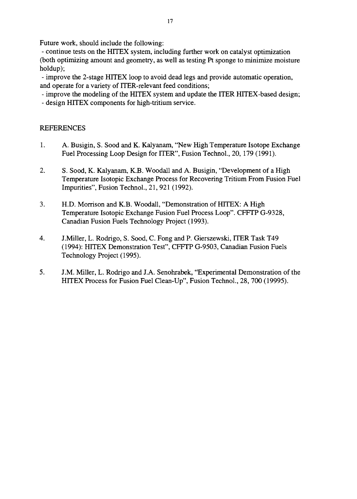Future work, should include the following:

- continue tests on the HITEX system, including further work on catalyst optimization (both optimizing amount and geometry, as well as testing Pt sponge to minimize moisture holdup);

- improve the 2-stage HITEX loop to avoid dead legs and provide automatic operation, and operate for a variety of ITER-relevant feed conditions;

- improve the modeling of the HITEX system and update the ITER HITEX-based design;

- design HITEX components for high-tritium service.

#### REFERENCES

- 1. A. Busigin, S. Sood and K. Kalyanam, "New High Temperature Isotope Exchange Fuel Processing Loop Design for ITER", Fusion Technol., 20,179 (1991).
- 2. S. Sood, K. Kalyanam, K.B. Woodall and A. Busigin, "Development of a High Temperature Isotopic Exchange Process for Recovering Tritium From Fusion Fuel Impurities", Fusion Technol., 21, 921 (1992).
- 3. H.D. Morrison and K.B. Woodall, "Demonstration of HITEX: A High Temperature Isotopic Exchange Fusion Fuel Process Loop". CFFTP G-9328, Canadian Fusion Fuels Technology Project (1993).
- 4. J.Miller, L. Rodrigo, S. Sood, C. Fong and P. Gierszewski, ITER Task T49 (1994): HITEX Demonstration Test", CFFTP G-9503, Canadian Fusion Fuels Technology Project (1995).
- 5. J.M. Miller, L. Rodrigo and J.A. Senohrabek, "Experimental Demonstration of the HITEX Process for Fusion Fuel Clean-Up", Fusion Technol., 28, 700 (19995).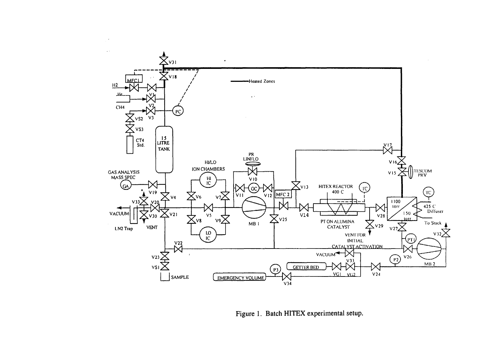

Figure 1. Batch HITEX experimental setup.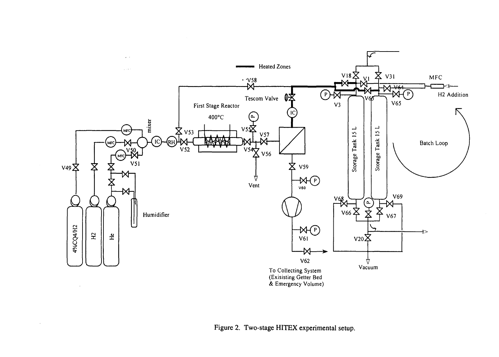

 $\sim$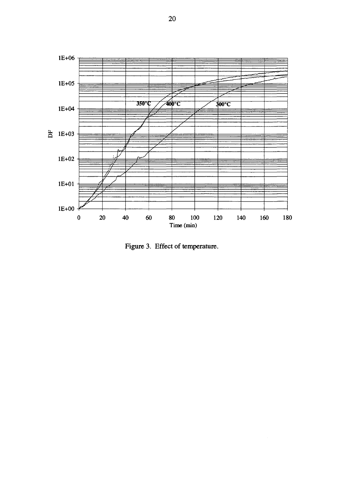

Figure 3. Effect of temperature.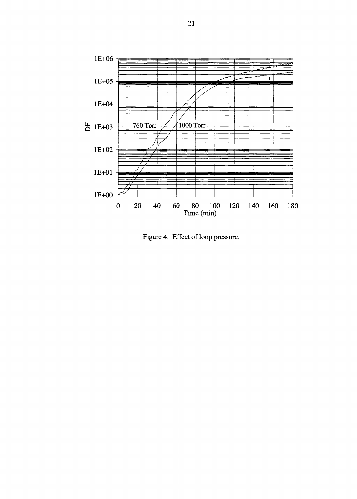

Figure 4. Effect of loop pressure.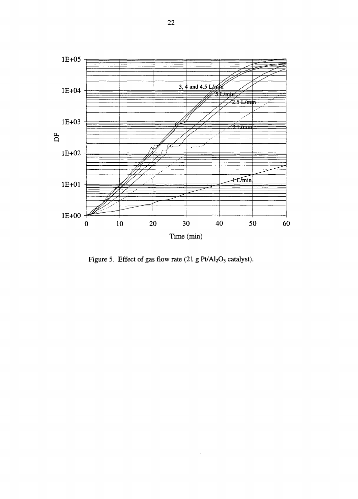

Figure 5. Effect of gas flow rate  $(21 g Pt/Al<sub>2</sub>O<sub>3</sub>)$  catalyst).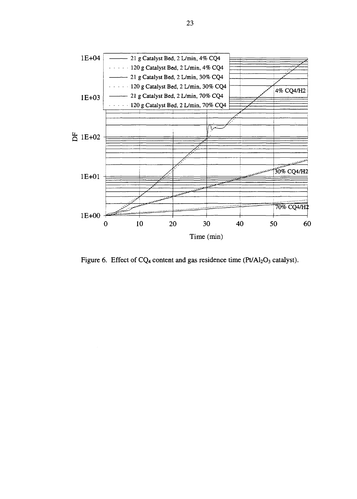

Figure 6. Effect of  $CQ_4$  content and gas residence time (Pt/Al<sub>2</sub>O<sub>3</sub> catalyst).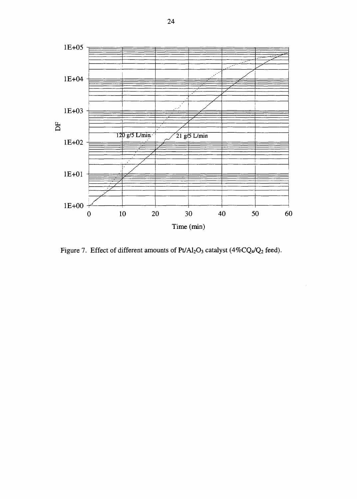

Figure 7. Effect of different amounts of  $Pt/Al_2O_3$  catalyst (4%CQ4/Q<sub>2</sub> feed).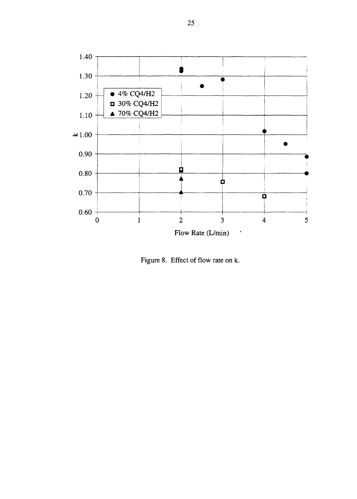

Figure 8. Effect of flow rate on k.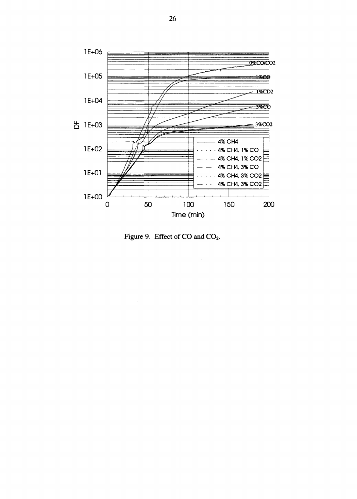

Figure 9. Effect of CO and CO<sub>2</sub>.

J.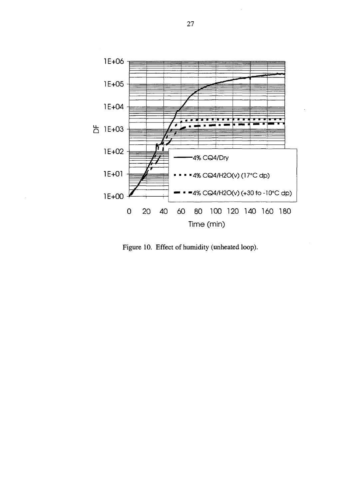

Figure 10. Effect of humidity (unheated loop).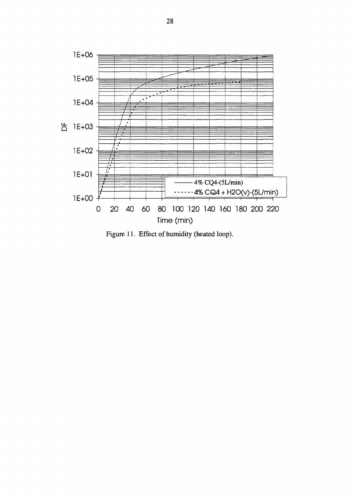

Figure 11. Effect of humidity (heated loop).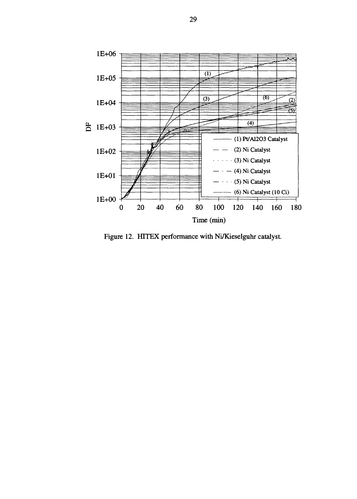

Figure 12. HITEX performance with Ni/Kieselguhr catalyst.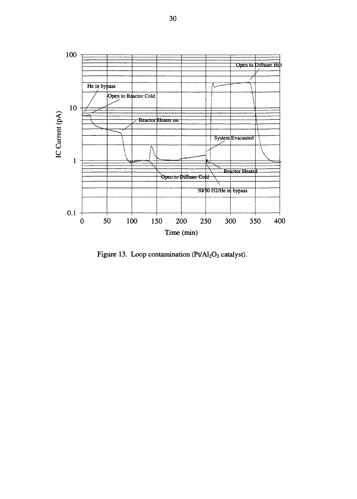

Figure 13. Loop contamination  $(Pv/Al<sub>2</sub>O<sub>3</sub>$  catalyst).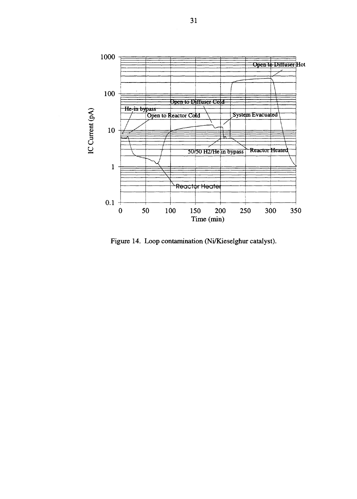

Figure 14. Loop contamination (Ni/Kieselghur catalyst).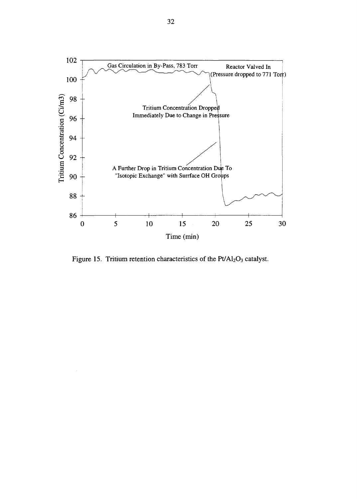

Figure 15. Tritium retention characteristics of the  $Pt/Al_2O_3$  catalyst.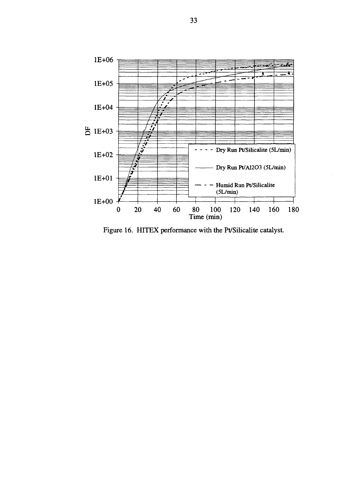

Figure 16. HITEX performance with the Pt/Silicalite catalyst.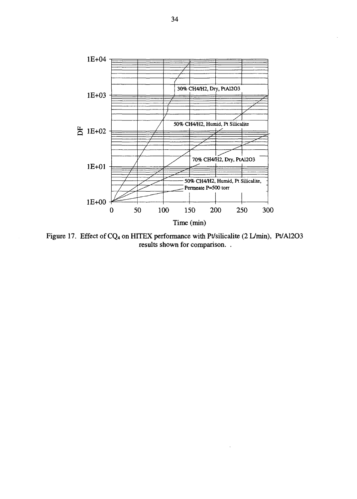

Figure 17. Effect of CQ<sub>4</sub> on HITEX performance with Pt/silicalite (2 L/min), Pt/Al2O3 results shown for comparison. .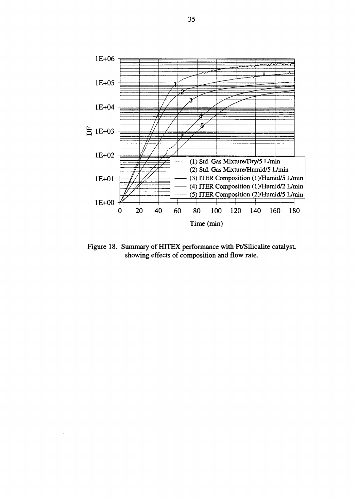

Figure 18. Summary of HITEX performance with Pt/Silicalite catalyst, showing effects of composition and flow rate.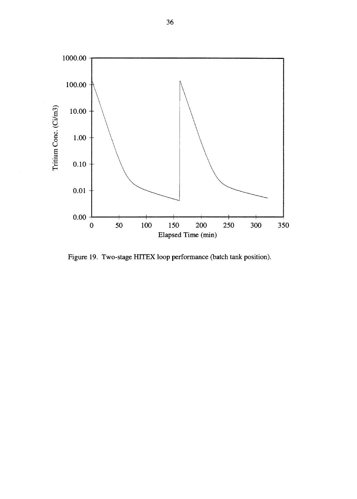

Figure 19. Two-stage HITEX loop performance (batch tank position).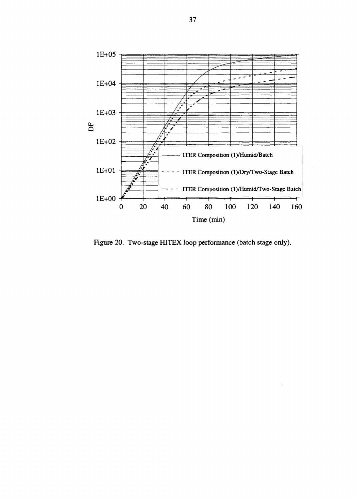

Figure 20. Two-stage HITEX loop performance (batch stage only).